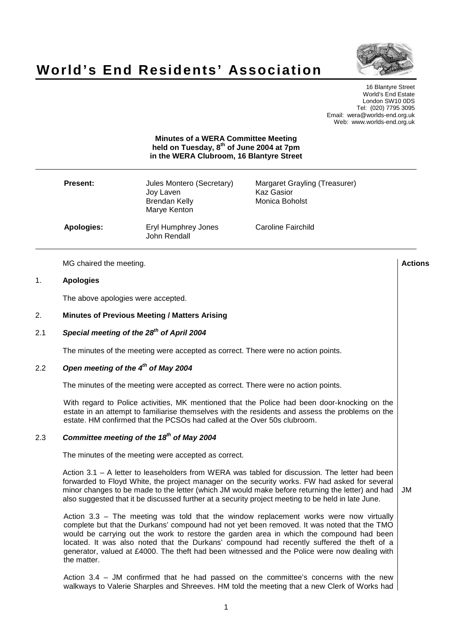



16 Blantyre Street World's End Estate London SW10 0DS Tel: (020) 7795 3095 Email: wera@worlds-end.org.uk Web: www.worlds-end.org.uk

### **Minutes of a WERA Committee Meeting held on Tuesday, 8 th of June 2004 at 7pm in the WERA Clubroom, 16 Blantyre Street**

| <b>Present:</b> | Jules Montero (Secretary)<br>Joy Laven<br><b>Brendan Kelly</b><br>Marye Kenton | Margaret Grayling (Treasurer)<br><b>Kaz Gasior</b><br>Monica Boholst |
|-----------------|--------------------------------------------------------------------------------|----------------------------------------------------------------------|
| Apologies:      | Eryl Humphrey Jones<br>John Rendall                                            | Caroline Fairchild                                                   |

MG chaired the meeting. **Actions**

### 1. **Apologies**

The above apologies were accepted.

### 2. **Minutes of Previous Meeting / Matters Arising**

# 2.1 **Special meeting of the 28 th of April 2004**

The minutes of the meeting were accepted as correct. There were no action points.

## 2.2 **Open meeting of the 4 th of May 2004**

The minutes of the meeting were accepted as correct. There were no action points.

With regard to Police activities, MK mentioned that the Police had been door-knocking on the estate in an attempt to familiarise themselves with the residents and assess the problems on the estate. HM confirmed that the PCSOs had called at the Over 50s clubroom.

## 2.3 **Committee meeting of the 18 th of May 2004**

The minutes of the meeting were accepted as correct.

Action 3.1 – A letter to leaseholders from WERA was tabled for discussion. The letter had been forwarded to Floyd White, the project manager on the security works. FW had asked for several minor changes to be made to the letter (which JM would make before returning the letter) and had also suggested that it be discussed further at a security project meeting to be held in late June. JM

Action 3.3 – The meeting was told that the window replacement works were now virtually complete but that the Durkans' compound had not yet been removed. It was noted that the TMO would be carrying out the work to restore the garden area in which the compound had been located. It was also noted that the Durkans' compound had recently suffered the theft of a generator, valued at £4000. The theft had been witnessed and the Police were now dealing with the matter.

Action 3.4 – JM confirmed that he had passed on the committee's concerns with the new walkways to Valerie Sharples and Shreeves. HM told the meeting that a new Clerk of Works had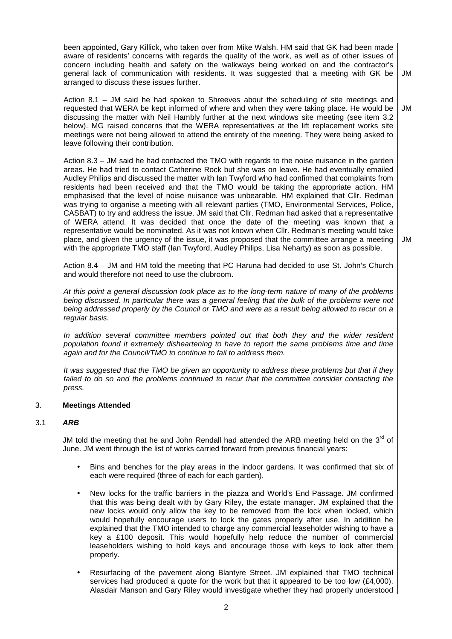been appointed, Gary Killick, who taken over from Mike Walsh. HM said that GK had been made aware of residents' concerns with regards the quality of the work, as well as of other issues of concern including health and safety on the walkways being worked on and the contractor's general lack of communication with residents. It was suggested that a meeting with GK be arranged to discuss these issues further. JM

Action 8.1 – JM said he had spoken to Shreeves about the scheduling of site meetings and requested that WERA be kept informed of where and when they were taking place. He would be discussing the matter with Neil Hambly further at the next windows site meeting (see item 3.2 below). MG raised concerns that the WERA representatives at the lift replacement works site meetings were not being allowed to attend the entirety of the meeting. They were being asked to leave following their contribution. JM

Action 8.3 – JM said he had contacted the TMO with regards to the noise nuisance in the garden areas. He had tried to contact Catherine Rock but she was on leave. He had eventually emailed Audley Philips and discussed the matter with Ian Twyford who had confirmed that complaints from residents had been received and that the TMO would be taking the appropriate action. HM emphasised that the level of noise nuisance was unbearable. HM explained that Cllr. Redman was trying to organise a meeting with all relevant parties (TMO, Environmental Services, Police, CASBAT) to try and address the issue. JM said that Cllr. Redman had asked that a representative of WERA attend. It was decided that once the date of the meeting was known that a representative would be nominated. As it was not known when Cllr. Redman's meeting would take place, and given the urgency of the issue, it was proposed that the committee arrange a meeting with the appropriate TMO staff (Ian Twyford, Audley Philips, Lisa Neharty) as soon as possible.

JM

Action 8.4 – JM and HM told the meeting that PC Haruna had decided to use St. John's Church and would therefore not need to use the clubroom.

At this point a general discussion took place as to the long-term nature of many of the problems being discussed. In particular there was a general feeling that the bulk of the problems were not being addressed properly by the Council or TMO and were as a result being allowed to recur on a regular basis.

In addition several committee members pointed out that both they and the wider resident population found it extremely disheartening to have to report the same problems time and time again and for the Council/TMO to continue to fail to address them.

It was suggested that the TMO be given an opportunity to address these problems but that if they failed to do so and the problems continued to recur that the committee consider contacting the press.

### 3. **Meetings Attended**

### 3.1 **ARB**

JM told the meeting that he and John Rendall had attended the ARB meeting held on the  $3^{\text{rd}}$  of June. JM went through the list of works carried forward from previous financial years:

- Bins and benches for the play areas in the indoor gardens. It was confirmed that six of each were required (three of each for each garden).
- New locks for the traffic barriers in the piazza and World's End Passage. JM confirmed that this was being dealt with by Gary Riley, the estate manager. JM explained that the new locks would only allow the key to be removed from the lock when locked, which would hopefully encourage users to lock the gates properly after use. In addition he explained that the TMO intended to charge any commercial leaseholder wishing to have a key a £100 deposit. This would hopefully help reduce the number of commercial leaseholders wishing to hold keys and encourage those with keys to look after them properly.
- Resurfacing of the pavement along Blantyre Street. JM explained that TMO technical services had produced a quote for the work but that it appeared to be too low  $(E4,000)$ . Alasdair Manson and Gary Riley would investigate whether they had properly understood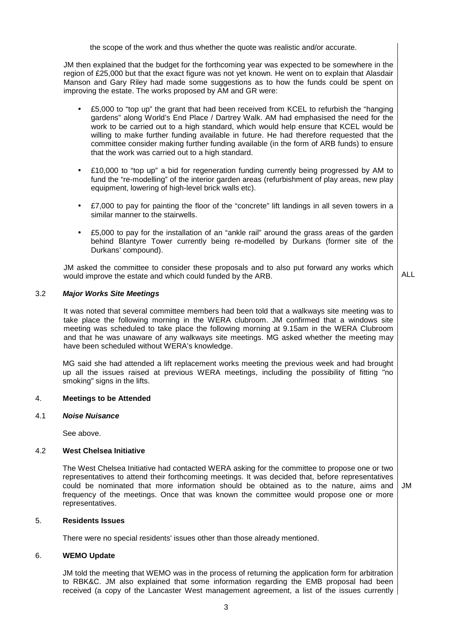the scope of the work and thus whether the quote was realistic and/or accurate.

JM then explained that the budget for the forthcoming year was expected to be somewhere in the region of £25,000 but that the exact figure was not yet known. He went on to explain that Alasdair Manson and Gary Riley had made some suggestions as to how the funds could be spent on improving the estate. The works proposed by AM and GR were:

- £5,000 to "top up" the grant that had been received from KCEL to refurbish the "hanging gardens" along World's End Place / Dartrey Walk. AM had emphasised the need for the work to be carried out to a high standard, which would help ensure that KCEL would be willing to make further funding available in future. He had therefore requested that the committee consider making further funding available (in the form of ARB funds) to ensure that the work was carried out to a high standard.
- £10,000 to "top up" a bid for regeneration funding currently being progressed by AM to fund the "re-modelling" of the interior garden areas (refurbishment of play areas, new play equipment, lowering of high-level brick walls etc).
- £7,000 to pay for painting the floor of the "concrete" lift landings in all seven towers in a similar manner to the stairwells.
- £5,000 to pay for the installation of an "ankle rail" around the grass areas of the garden behind Blantyre Tower currently being re-modelled by Durkans (former site of the Durkans' compound).

JM asked the committee to consider these proposals and to also put forward any works which would improve the estate and which could funded by the ARB.

ALL

JM

### 3.2 **Major Works Site Meetings**

It was noted that several committee members had been told that a walkways site meeting was to take place the following morning in the WERA clubroom. JM confirmed that a windows site meeting was scheduled to take place the following morning at 9.15am in the WERA Clubroom and that he was unaware of any walkways site meetings. MG asked whether the meeting may have been scheduled without WERA's knowledge.

MG said she had attended a lift replacement works meeting the previous week and had brought up all the issues raised at previous WERA meetings, including the possibility of fitting "no smoking" signs in the lifts.

### 4. **Meetings to be Attended**

### 4.1 **Noise Nuisance**

See above.

### 4.2 **West Chelsea Initiative**

The West Chelsea Initiative had contacted WERA asking for the committee to propose one or two representatives to attend their forthcoming meetings. It was decided that, before representatives could be nominated that more information should be obtained as to the nature, aims and frequency of the meetings. Once that was known the committee would propose one or more representatives.

### 5. **Residents Issues**

There were no special residents' issues other than those already mentioned.

### 6. **WEMO Update**

JM told the meeting that WEMO was in the process of returning the application form for arbitration to RBK&C. JM also explained that some information regarding the EMB proposal had been received (a copy of the Lancaster West management agreement, a list of the issues currently